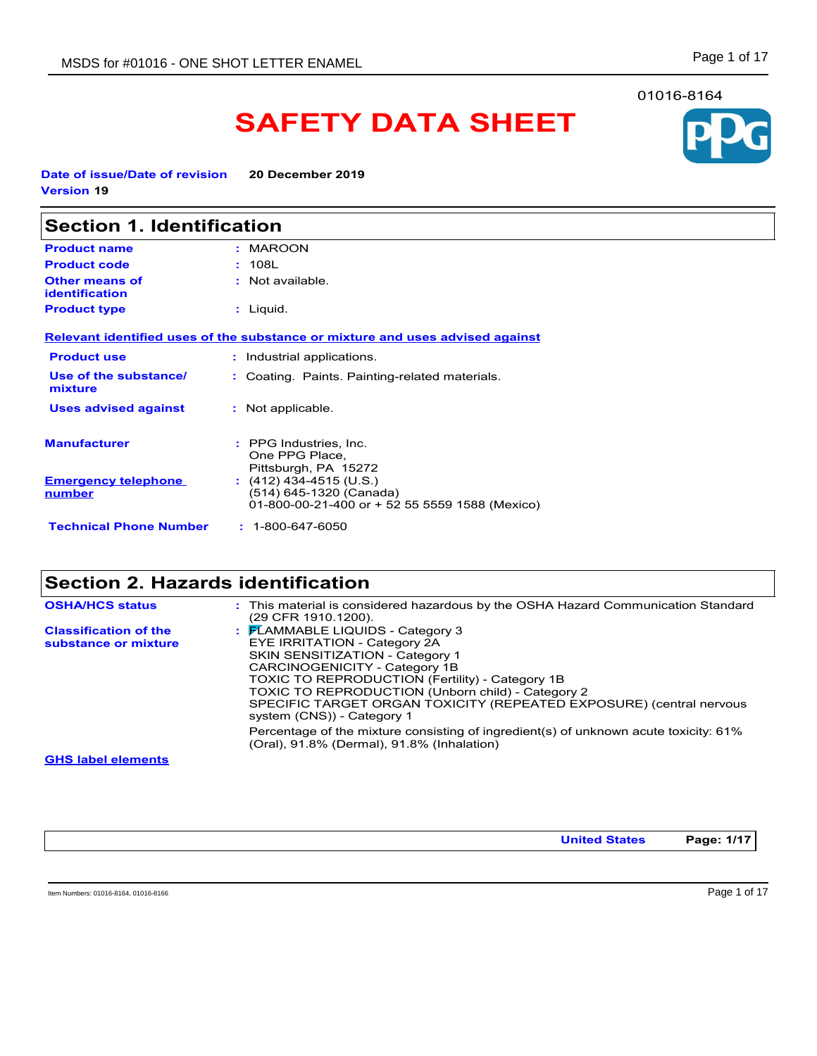# **SAFETY DATA SHEET**

**Date of issue/Date of revision 20 December 2019 Version 19**

| <b>Section 1. Identification</b>               |                                                                                                      |  |
|------------------------------------------------|------------------------------------------------------------------------------------------------------|--|
| <b>Product name</b>                            | : MAROON                                                                                             |  |
| <b>Product code</b>                            | : 108L                                                                                               |  |
| <b>Other means of</b><br><b>identification</b> | : Not available.                                                                                     |  |
| <b>Product type</b>                            | : Liquid.                                                                                            |  |
|                                                | Relevant identified uses of the substance or mixture and uses advised against                        |  |
| <b>Product use</b>                             | : Industrial applications.                                                                           |  |
| Use of the substance/<br>mixture               | : Coating. Paints. Painting-related materials.                                                       |  |
| <b>Uses advised against</b>                    | : Not applicable.                                                                                    |  |
| <b>Manufacturer</b>                            | : PPG Industries, Inc.<br>One PPG Place,<br>Pittsburgh, PA 15272                                     |  |
| <b>Emergency telephone</b><br>number           | $(412)$ 434-4515 (U.S.)<br>(514) 645-1320 (Canada)<br>01-800-00-21-400 or + 52 55 5559 1588 (Mexico) |  |
| <b>Technical Phone Number</b>                  | $: 1 - 800 - 647 - 6050$                                                                             |  |

# **Section 2. Hazards identification**

| <b>OSHA/HCS status</b>                               | : This material is considered hazardous by the OSHA Hazard Communication Standard<br>(29 CFR 1910 1200).                                                                                                                                                                                                                                                                  |
|------------------------------------------------------|---------------------------------------------------------------------------------------------------------------------------------------------------------------------------------------------------------------------------------------------------------------------------------------------------------------------------------------------------------------------------|
| <b>Classification of the</b><br>substance or mixture | $\frac{1}{2}$ $\mathsf{F}$ LAMMABLE LIQUIDS - Category 3<br>EYE IRRITATION - Category 2A<br>SKIN SENSITIZATION - Category 1<br>CARCINOGENICITY - Category 1B<br>TOXIC TO REPRODUCTION (Fertility) - Category 1B<br>TOXIC TO REPRODUCTION (Unborn child) - Category 2<br>SPECIFIC TARGET ORGAN TOXICITY (REPEATED EXPOSURE) (central nervous<br>system (CNS)) - Category 1 |
|                                                      | Percentage of the mixture consisting of ingredient(s) of unknown acute toxicity: 61%<br>(Oral), 91.8% (Dermal), 91.8% (Inhalation)                                                                                                                                                                                                                                        |
| <b>GHS label elements</b>                            |                                                                                                                                                                                                                                                                                                                                                                           |

**United States Page: 1/17**

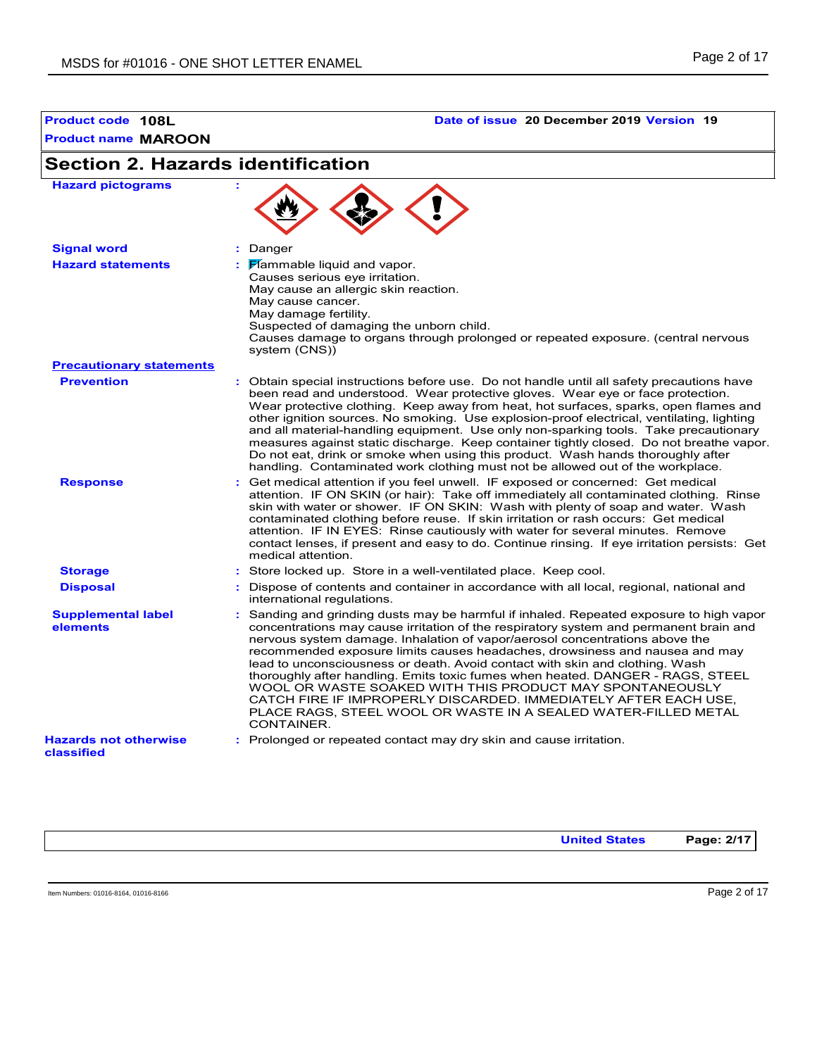# **Product code 108L Date of issue 20 December 2019 Version 19**

| <b>Section 2. Hazards identification</b>   |                                                                                                                                                                                                                                                                                                                                                                                                                                                                                                                                                                                                                                                                                                                                 |
|--------------------------------------------|---------------------------------------------------------------------------------------------------------------------------------------------------------------------------------------------------------------------------------------------------------------------------------------------------------------------------------------------------------------------------------------------------------------------------------------------------------------------------------------------------------------------------------------------------------------------------------------------------------------------------------------------------------------------------------------------------------------------------------|
| <b>Hazard pictograms</b>                   |                                                                                                                                                                                                                                                                                                                                                                                                                                                                                                                                                                                                                                                                                                                                 |
| <b>Signal word</b>                         | : Danger                                                                                                                                                                                                                                                                                                                                                                                                                                                                                                                                                                                                                                                                                                                        |
| <b>Hazard statements</b>                   | $\mathbf{F}$ Mammable liquid and vapor.<br>Causes serious eye irritation.<br>May cause an allergic skin reaction.<br>May cause cancer.<br>May damage fertility.<br>Suspected of damaging the unborn child.<br>Causes damage to organs through prolonged or repeated exposure. (central nervous<br>system (CNS))                                                                                                                                                                                                                                                                                                                                                                                                                 |
| <b>Precautionary statements</b>            |                                                                                                                                                                                                                                                                                                                                                                                                                                                                                                                                                                                                                                                                                                                                 |
| <b>Prevention</b>                          | : Obtain special instructions before use. Do not handle until all safety precautions have<br>been read and understood. Wear protective gloves. Wear eye or face protection.<br>Wear protective clothing. Keep away from heat, hot surfaces, sparks, open flames and<br>other ignition sources. No smoking. Use explosion-proof electrical, ventilating, lighting<br>and all material-handling equipment. Use only non-sparking tools. Take precautionary<br>measures against static discharge. Keep container tightly closed. Do not breathe vapor.<br>Do not eat, drink or smoke when using this product. Wash hands thoroughly after<br>handling. Contaminated work clothing must not be allowed out of the workplace.        |
| <b>Response</b>                            | : Get medical attention if you feel unwell. IF exposed or concerned: Get medical<br>attention. IF ON SKIN (or hair): Take off immediately all contaminated clothing. Rinse<br>skin with water or shower. IF ON SKIN: Wash with plenty of soap and water. Wash<br>contaminated clothing before reuse. If skin irritation or rash occurs: Get medical<br>attention. IF IN EYES: Rinse cautiously with water for several minutes. Remove<br>contact lenses, if present and easy to do. Continue rinsing. If eye irritation persists: Get<br>medical attention.                                                                                                                                                                     |
| <b>Storage</b>                             | : Store locked up. Store in a well-ventilated place. Keep cool.                                                                                                                                                                                                                                                                                                                                                                                                                                                                                                                                                                                                                                                                 |
| <b>Disposal</b>                            | : Dispose of contents and container in accordance with all local, regional, national and<br>international regulations.                                                                                                                                                                                                                                                                                                                                                                                                                                                                                                                                                                                                          |
| <b>Supplemental label</b><br>elements      | : Sanding and grinding dusts may be harmful if inhaled. Repeated exposure to high vapor<br>concentrations may cause irritation of the respiratory system and permanent brain and<br>nervous system damage. Inhalation of vapor/aerosol concentrations above the<br>recommended exposure limits causes headaches, drowsiness and nausea and may<br>lead to unconsciousness or death. Avoid contact with skin and clothing. Wash<br>thoroughly after handling. Emits toxic fumes when heated. DANGER - RAGS, STEEL<br>WOOL OR WASTE SOAKED WITH THIS PRODUCT MAY SPONTANEOUSLY<br>CATCH FIRE IF IMPROPERLY DISCARDED. IMMEDIATELY AFTER EACH USE.<br>PLACE RAGS, STEEL WOOL OR WASTE IN A SEALED WATER-FILLED METAL<br>CONTAINER. |
| <b>Hazards not otherwise</b><br>classified | : Prolonged or repeated contact may dry skin and cause irritation.                                                                                                                                                                                                                                                                                                                                                                                                                                                                                                                                                                                                                                                              |

**United States Page: 2/17**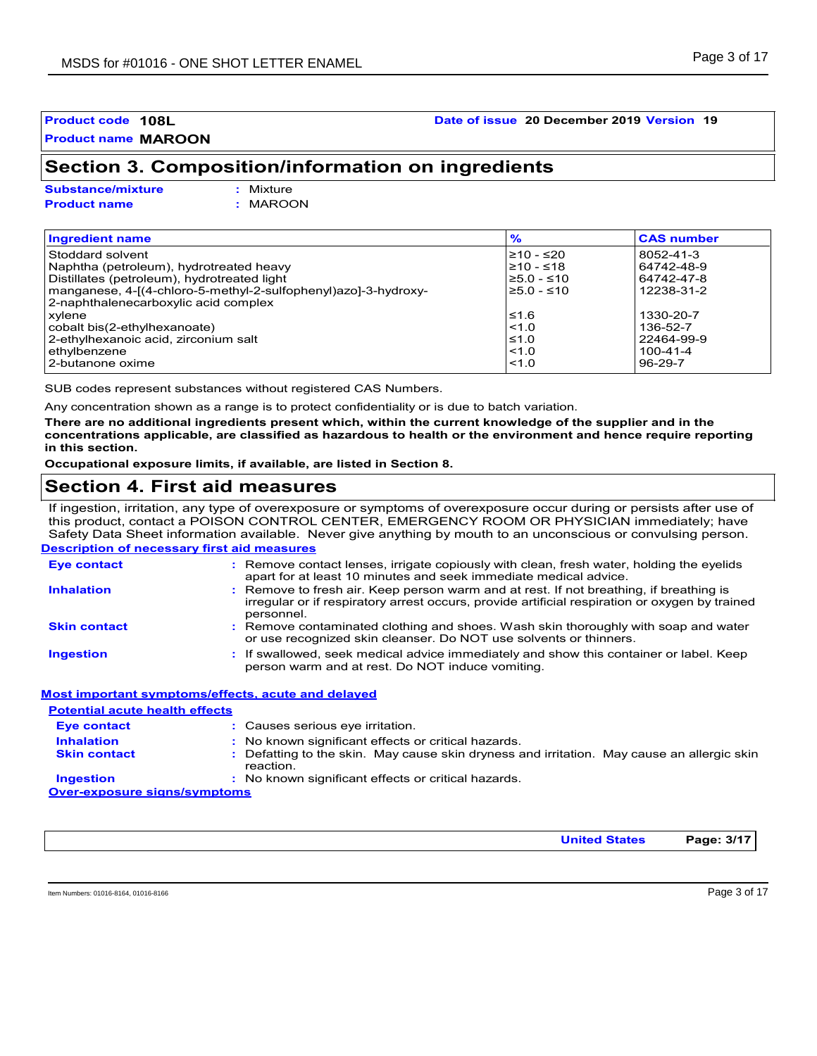# **Product code 108L Date of issue 20 December 2019 Version 19**

# **Section 3. Composition/information on ingredients**

**Substance/mixture :**

Mixture **Product name :** MAROON

| <b>Ingredient name</b>                                         | $\frac{9}{6}$ | <b>CAS number</b> |
|----------------------------------------------------------------|---------------|-------------------|
| Stoddard solvent                                               | $≥10 - ≤20$   | 8052-41-3         |
| Naphtha (petroleum), hydrotreated heavy                        | $≥10 - ≤18$   | 64742-48-9        |
| Distillates (petroleum), hydrotreated light                    | $≥5.0 - ≤10$  | 64742-47-8        |
| manganese, 4-[(4-chloro-5-methyl-2-sulfophenyl)azo]-3-hydroxy- | $≥5.0 - ≤10$  | 12238-31-2        |
| 2-naphthalenecarboxylic acid complex                           |               |                   |
| xvlene                                                         | $≤1.6$        | 1330-20-7         |
| cobalt bis(2-ethylhexanoate)                                   | $ $ < 1.0     | 136-52-7          |
| 2-ethylhexanoic acid, zirconium salt                           | $\leq 1.0$    | 22464-99-9        |
| ethylbenzene                                                   | $\leq 1.0$    | 100-41-4          |
| 2-butanone oxime                                               | < 1.0         | $96-29-7$         |

SUB codes represent substances without registered CAS Numbers.

Any concentration shown as a range is to protect confidentiality or is due to batch variation.

**There are no additional ingredients present which, within the current knowledge of the supplier and in the concentrations applicable, are classified as hazardous to health or the environment and hence require reporting in this section.**

**Occupational exposure limits, if available, are listed in Section 8.**

# **Section 4. First aid measures**

If ingestion, irritation, any type of overexposure or symptoms of overexposure occur during or persists after use of this product, contact a POISON CONTROL CENTER, EMERGENCY ROOM OR PHYSICIAN immediately; have Safety Data Sheet information available. Never give anything by mouth to an unconscious or convulsing person.

| <b>Description of necessary first aid measures</b> |                                                                                                                                                                                                        |  |
|----------------------------------------------------|--------------------------------------------------------------------------------------------------------------------------------------------------------------------------------------------------------|--|
| <b>Eye contact</b>                                 | : Remove contact lenses, irrigate copiously with clean, fresh water, holding the eyelids<br>apart for at least 10 minutes and seek immediate medical advice.                                           |  |
| <b>Inhalation</b>                                  | : Remove to fresh air. Keep person warm and at rest. If not breathing, if breathing is<br>irregular or if respiratory arrest occurs, provide artificial respiration or oxygen by trained<br>personnel. |  |
| <b>Skin contact</b>                                | : Remove contaminated clothing and shoes. Wash skin thoroughly with soap and water<br>or use recognized skin cleanser. Do NOT use solvents or thinners.                                                |  |
| <b>Ingestion</b>                                   | : If swallowed, seek medical advice immediately and show this container or label. Keep<br>person warm and at rest. Do NOT induce vomiting.                                                             |  |

#### **Most important symptoms/effects, acute and delayed**

| <b>Potential acute health effects</b> |                                                                                                         |
|---------------------------------------|---------------------------------------------------------------------------------------------------------|
| <b>Eye contact</b>                    | : Causes serious eye irritation.                                                                        |
| <b>Inhalation</b>                     | : No known significant effects or critical hazards.                                                     |
| <b>Skin contact</b>                   | : Defatting to the skin. May cause skin dryness and irritation. May cause an allergic skin<br>reaction. |
| <b>Ingestion</b>                      | : No known significant effects or critical hazards.                                                     |
| <b>Over-exposure signs/symptoms</b>   |                                                                                                         |

**United States Page: 3/17**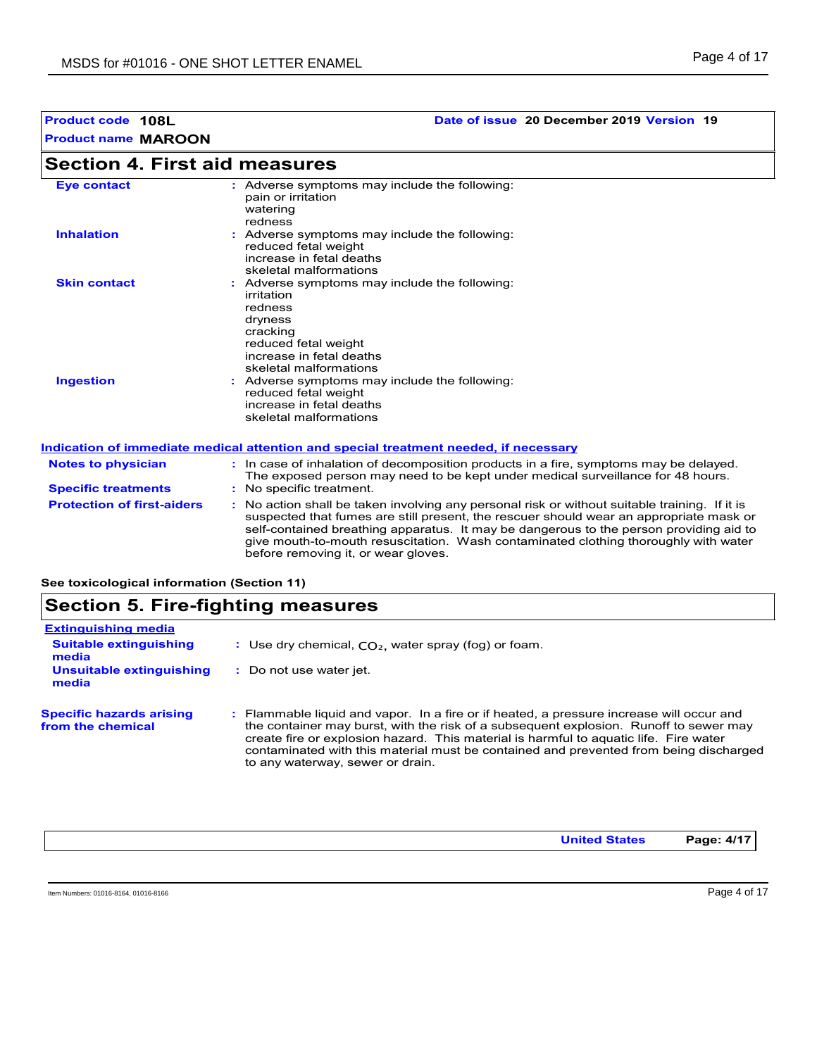# **Product code 108L Date of issue 20 December 2019 Version 19**

# **Section 4. First aid measures**

| <b>Eye contact</b>  | : Adverse symptoms may include the following:<br>pain or irritation<br>watering<br>redness                                                                                  |
|---------------------|-----------------------------------------------------------------------------------------------------------------------------------------------------------------------------|
| <b>Inhalation</b>   | : Adverse symptoms may include the following:<br>reduced fetal weight<br>increase in fetal deaths<br>skeletal malformations                                                 |
| <b>Skin contact</b> | : Adverse symptoms may include the following:<br>irritation<br>redness<br>dryness<br>cracking<br>reduced fetal weight<br>increase in fetal deaths<br>skeletal malformations |
| <b>Ingestion</b>    | : Adverse symptoms may include the following:<br>reduced fetal weight<br>increase in fetal deaths<br>skeletal malformations                                                 |

### **Indication of immediate medical attention and special treatment needed, if necessary**

| <b>Notes to physician</b><br><b>Specific treatments</b> | In case of inhalation of decomposition products in a fire, symptoms may be delayed.<br>The exposed person may need to be kept under medical surveillance for 48 hours.<br>: No specific treatment.                                                                                                                                                                                                            |
|---------------------------------------------------------|---------------------------------------------------------------------------------------------------------------------------------------------------------------------------------------------------------------------------------------------------------------------------------------------------------------------------------------------------------------------------------------------------------------|
| <b>Protection of first-aiders</b>                       | No action shall be taken involving any personal risk or without suitable training. If it is<br>suspected that fumes are still present, the rescuer should wear an appropriate mask or<br>self-contained breathing apparatus. It may be dangerous to the person providing aid to<br>give mouth-to-mouth resuscitation. Wash contaminated clothing thoroughly with water<br>before removing it, or wear gloves. |

**See toxicological information (Section 11)**

# **Section 5. Fire-fighting measures**

| <b>Extinguishing media</b>                           |                                                                                                                                                                                                                                                                                                                                                                                                         |
|------------------------------------------------------|---------------------------------------------------------------------------------------------------------------------------------------------------------------------------------------------------------------------------------------------------------------------------------------------------------------------------------------------------------------------------------------------------------|
| <b>Suitable extinguishing</b><br>media               | : Use dry chemical, $CO2$ , water spray (fog) or foam.                                                                                                                                                                                                                                                                                                                                                  |
| Unsuitable extinguishing<br>media                    | Do not use water jet.                                                                                                                                                                                                                                                                                                                                                                                   |
| <b>Specific hazards arising</b><br>from the chemical | : Flammable liquid and vapor. In a fire or if heated, a pressure increase will occur and<br>the container may burst, with the risk of a subsequent explosion. Runoff to sewer may<br>create fire or explosion hazard. This material is harmful to aquatic life. Fire water<br>contaminated with this material must be contained and prevented from being discharged<br>to any waterway, sewer or drain. |

**United States Page: 4/17**

Item Numbers: 01016-8164, 01016-8166 Page 4 of 17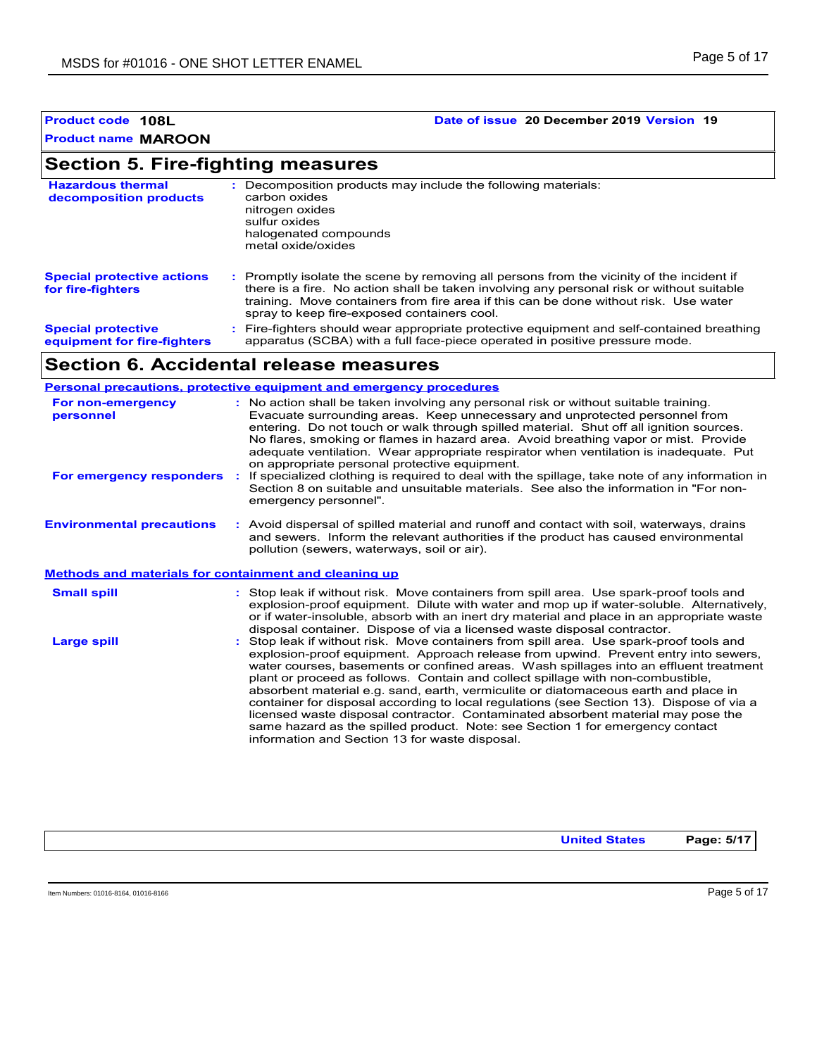# **Product code 108L Date of issue 20 December 2019 Version 19**

# **Section 5. Fire-fighting measures**

| <b>Hazardous thermal</b><br>decomposition products       | Decomposition products may include the following materials:<br>carbon oxides<br>nitrogen oxides<br>sulfur oxides<br>halogenated compounds<br>metal oxide/oxides                                                                                                                                                               |
|----------------------------------------------------------|-------------------------------------------------------------------------------------------------------------------------------------------------------------------------------------------------------------------------------------------------------------------------------------------------------------------------------|
| <b>Special protective actions</b><br>for fire-fighters   | : Promptly isolate the scene by removing all persons from the vicinity of the incident if<br>there is a fire. No action shall be taken involving any personal risk or without suitable<br>training. Move containers from fire area if this can be done without risk. Use water<br>spray to keep fire-exposed containers cool. |
| <b>Special protective</b><br>equipment for fire-fighters | : Fire-fighters should wear appropriate protective equipment and self-contained breathing<br>apparatus (SCBA) with a full face-piece operated in positive pressure mode.                                                                                                                                                      |

# **Section 6. Accidental release measures**

|                                                              | <b>Personal precautions, protective equipment and emergency procedures</b>                                                                                                                                                                                                                                                                                                                                                                                                                                                                                                                                                                                                                                                                                         |
|--------------------------------------------------------------|--------------------------------------------------------------------------------------------------------------------------------------------------------------------------------------------------------------------------------------------------------------------------------------------------------------------------------------------------------------------------------------------------------------------------------------------------------------------------------------------------------------------------------------------------------------------------------------------------------------------------------------------------------------------------------------------------------------------------------------------------------------------|
| For non-emergency<br>personnel                               | : No action shall be taken involving any personal risk or without suitable training.<br>Evacuate surrounding areas. Keep unnecessary and unprotected personnel from<br>entering. Do not touch or walk through spilled material. Shut off all ignition sources.<br>No flares, smoking or flames in hazard area. Avoid breathing vapor or mist. Provide<br>adequate ventilation. Wear appropriate respirator when ventilation is inadequate. Put<br>on appropriate personal protective equipment.                                                                                                                                                                                                                                                                    |
| For emergency responders                                     | : If specialized clothing is required to deal with the spillage, take note of any information in<br>Section 8 on suitable and unsuitable materials. See also the information in "For non-<br>emergency personnel".                                                                                                                                                                                                                                                                                                                                                                                                                                                                                                                                                 |
| <b>Environmental precautions</b>                             | : Avoid dispersal of spilled material and runoff and contact with soil, waterways, drains<br>and sewers. Inform the relevant authorities if the product has caused environmental<br>pollution (sewers, waterways, soil or air).                                                                                                                                                                                                                                                                                                                                                                                                                                                                                                                                    |
| <b>Methods and materials for containment and cleaning up</b> |                                                                                                                                                                                                                                                                                                                                                                                                                                                                                                                                                                                                                                                                                                                                                                    |
| <b>Small spill</b>                                           | : Stop leak if without risk. Move containers from spill area. Use spark-proof tools and<br>explosion-proof equipment. Dilute with water and mop up if water-soluble. Alternatively,<br>or if water-insoluble, absorb with an inert dry material and place in an appropriate waste<br>disposal container. Dispose of via a licensed waste disposal contractor.                                                                                                                                                                                                                                                                                                                                                                                                      |
| <b>Large spill</b>                                           | Stop leak if without risk. Move containers from spill area. Use spark-proof tools and<br>explosion-proof equipment. Approach release from upwind. Prevent entry into sewers,<br>water courses, basements or confined areas. Wash spillages into an effluent treatment<br>plant or proceed as follows. Contain and collect spillage with non-combustible,<br>absorbent material e.g. sand, earth, vermiculite or diatomaceous earth and place in<br>container for disposal according to local regulations (see Section 13). Dispose of via a<br>licensed waste disposal contractor. Contaminated absorbent material may pose the<br>same hazard as the spilled product. Note: see Section 1 for emergency contact<br>information and Section 13 for waste disposal. |

**United States Page: 5/17**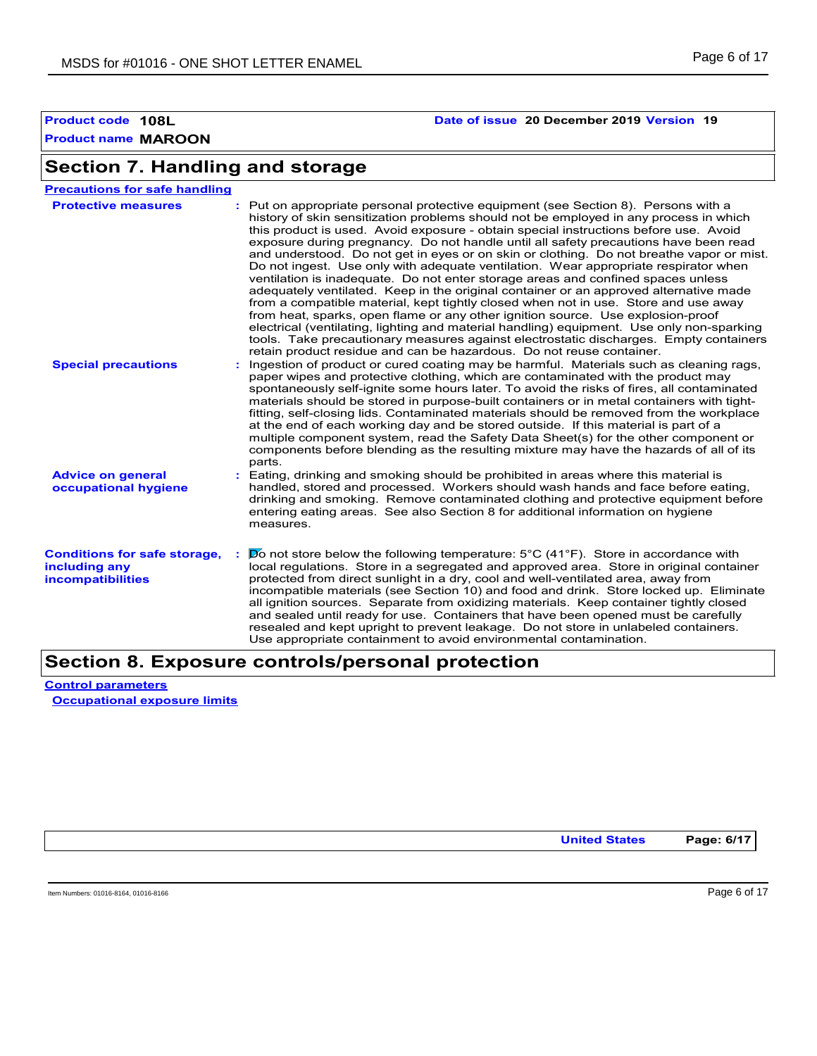# **Product code 108L Date of issue 20 December 2019 Version 19**

# **Section 7. Handling and storage**

| <b>Precautions for safe handling</b>                                             |                                                                                                                                                                                                                                                                                                                                                                                                                                                                                                                                                                                                                                                                                                                                                                                                                                                                                                                                                                                                                                                                                                                                                                     |
|----------------------------------------------------------------------------------|---------------------------------------------------------------------------------------------------------------------------------------------------------------------------------------------------------------------------------------------------------------------------------------------------------------------------------------------------------------------------------------------------------------------------------------------------------------------------------------------------------------------------------------------------------------------------------------------------------------------------------------------------------------------------------------------------------------------------------------------------------------------------------------------------------------------------------------------------------------------------------------------------------------------------------------------------------------------------------------------------------------------------------------------------------------------------------------------------------------------------------------------------------------------|
| <b>Protective measures</b>                                                       | : Put on appropriate personal protective equipment (see Section 8). Persons with a<br>history of skin sensitization problems should not be employed in any process in which<br>this product is used. Avoid exposure - obtain special instructions before use. Avoid<br>exposure during pregnancy. Do not handle until all safety precautions have been read<br>and understood. Do not get in eyes or on skin or clothing. Do not breathe vapor or mist.<br>Do not ingest. Use only with adequate ventilation. Wear appropriate respirator when<br>ventilation is inadequate. Do not enter storage areas and confined spaces unless<br>adequately ventilated. Keep in the original container or an approved alternative made<br>from a compatible material, kept tightly closed when not in use. Store and use away<br>from heat, sparks, open flame or any other ignition source. Use explosion-proof<br>electrical (ventilating, lighting and material handling) equipment. Use only non-sparking<br>tools. Take precautionary measures against electrostatic discharges. Empty containers<br>retain product residue and can be hazardous. Do not reuse container. |
| <b>Special precautions</b>                                                       | Ingestion of product or cured coating may be harmful. Materials such as cleaning rags,<br>paper wipes and protective clothing, which are contaminated with the product may<br>spontaneously self-ignite some hours later. To avoid the risks of fires, all contaminated<br>materials should be stored in purpose-built containers or in metal containers with tight-<br>fitting, self-closing lids. Contaminated materials should be removed from the workplace<br>at the end of each working day and be stored outside. If this material is part of a<br>multiple component system, read the Safety Data Sheet(s) for the other component or<br>components before blending as the resulting mixture may have the hazards of all of its<br>parts.                                                                                                                                                                                                                                                                                                                                                                                                                   |
| <b>Advice on general</b><br>occupational hygiene                                 | Eating, drinking and smoking should be prohibited in areas where this material is<br>handled, stored and processed. Workers should wash hands and face before eating,<br>drinking and smoking. Remove contaminated clothing and protective equipment before<br>entering eating areas. See also Section 8 for additional information on hygiene<br>measures.                                                                                                                                                                                                                                                                                                                                                                                                                                                                                                                                                                                                                                                                                                                                                                                                         |
| <b>Conditions for safe storage,</b><br>including any<br><b>incompatibilities</b> | $\triangleright$ not store below the following temperature: 5°C (41°F). Store in accordance with<br>local regulations. Store in a segregated and approved area. Store in original container<br>protected from direct sunlight in a dry, cool and well-ventilated area, away from<br>incompatible materials (see Section 10) and food and drink. Store locked up. Eliminate<br>all ignition sources. Separate from oxidizing materials. Keep container tightly closed<br>and sealed until ready for use. Containers that have been opened must be carefully<br>resealed and kept upright to prevent leakage. Do not store in unlabeled containers.<br>Use appropriate containment to avoid environmental contamination.                                                                                                                                                                                                                                                                                                                                                                                                                                              |

# **Section 8. Exposure controls/personal protection**

**Control parameters Occupational exposure limits**

**United States Page: 6/17**

Item Numbers: 01016-8164, 01016-8166 **Page 6 of 17**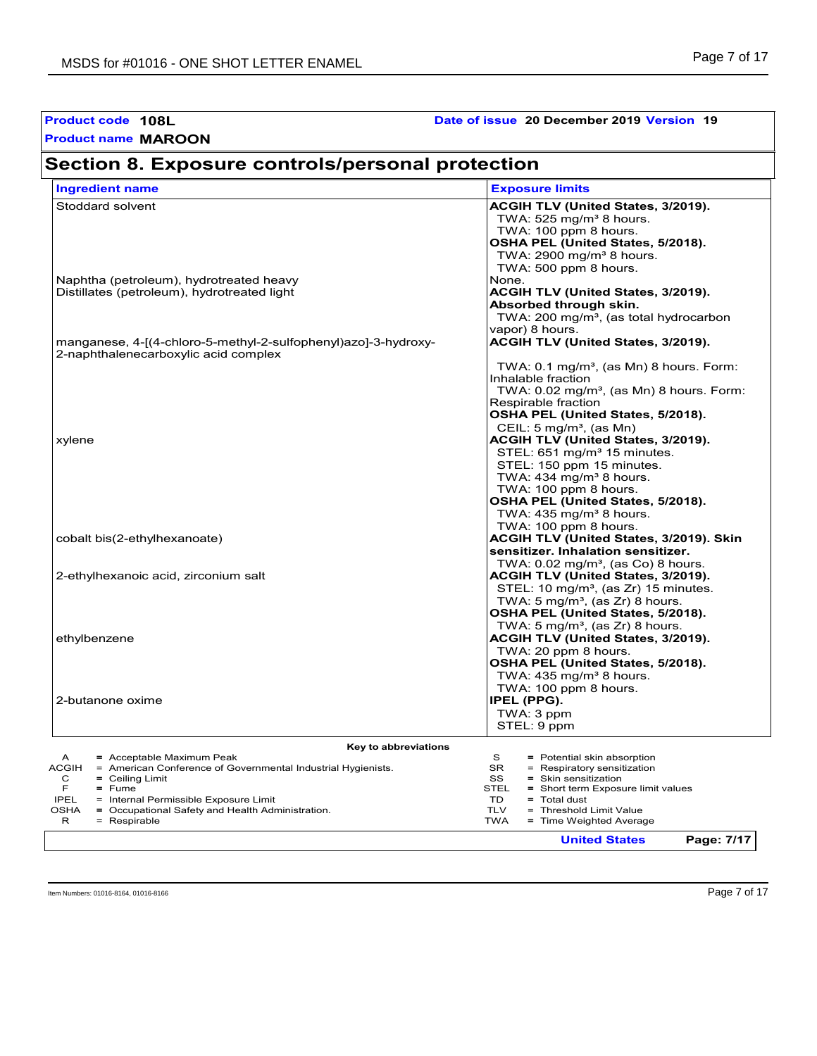| Product code 108L<br><b>Product name MAROON</b>                                                                                                                                                                                                                                                    | Date of issue 20 December 2019 Version 19                                                                                                                                                                                                                                                                             |
|----------------------------------------------------------------------------------------------------------------------------------------------------------------------------------------------------------------------------------------------------------------------------------------------------|-----------------------------------------------------------------------------------------------------------------------------------------------------------------------------------------------------------------------------------------------------------------------------------------------------------------------|
| Section 8. Exposure controls/personal protection                                                                                                                                                                                                                                                   |                                                                                                                                                                                                                                                                                                                       |
| <b>Ingredient name</b>                                                                                                                                                                                                                                                                             | <b>Exposure limits</b>                                                                                                                                                                                                                                                                                                |
| Stoddard solvent<br>Naphtha (petroleum), hydrotreated heavy                                                                                                                                                                                                                                        | ACGIH TLV (United States, 3/2019).<br>TWA: 525 mg/m <sup>3</sup> 8 hours.<br>TWA: 100 ppm 8 hours.<br>OSHA PEL (United States, 5/2018).<br>TWA: $2900 \text{ mg/m}^3$ 8 hours.<br>TWA: 500 ppm 8 hours.<br>None.                                                                                                      |
| Distillates (petroleum), hydrotreated light                                                                                                                                                                                                                                                        | ACGIH TLV (United States, 3/2019).<br>Absorbed through skin.<br>TWA: 200 mg/m <sup>3</sup> , (as total hydrocarbon<br>vapor) 8 hours.                                                                                                                                                                                 |
| manganese, 4-[(4-chloro-5-methyl-2-sulfophenyl)azo]-3-hydroxy-<br>2-naphthalenecarboxylic acid complex                                                                                                                                                                                             | ACGIH TLV (United States, 3/2019).                                                                                                                                                                                                                                                                                    |
| xylene                                                                                                                                                                                                                                                                                             | TWA: 0.1 mg/m <sup>3</sup> , (as Mn) 8 hours. Form:<br>Inhalable fraction<br>TWA: 0.02 mg/m <sup>3</sup> , (as Mn) 8 hours. Form:<br>Respirable fraction<br>OSHA PEL (United States, 5/2018).<br>CEIL: 5 mg/m <sup>3</sup> , (as Mn)<br>ACGIH TLV (United States, 3/2019).<br>STEL: 651 mg/m <sup>3</sup> 15 minutes. |
| cobalt bis(2-ethylhexanoate)                                                                                                                                                                                                                                                                       | STEL: 150 ppm 15 minutes.<br>TWA: $434$ mg/m <sup>3</sup> 8 hours.<br>TWA: 100 ppm 8 hours.<br>OSHA PEL (United States, 5/2018).<br>TWA: $435 \text{ mg/m}^3$ 8 hours.<br>TWA: 100 ppm 8 hours.<br>ACGIH TLV (United States, 3/2019). Skin                                                                            |
| 2-ethylhexanoic acid, zirconium salt                                                                                                                                                                                                                                                               | sensitizer. Inhalation sensitizer.<br>TWA: $0.02$ mg/m <sup>3</sup> , (as Co) 8 hours.<br>ACGIH TLV (United States, 3/2019).                                                                                                                                                                                          |
|                                                                                                                                                                                                                                                                                                    | STEL: 10 mg/m <sup>3</sup> , (as Zr) 15 minutes.<br>TWA: 5 mg/m <sup>3</sup> , (as Zr) 8 hours.<br>OSHA PEL (United States, 5/2018).<br>TWA: 5 mg/m <sup>3</sup> , (as Zr) 8 hours.                                                                                                                                   |
| ethylbenzene                                                                                                                                                                                                                                                                                       | ACGIH TLV (United States, 3/2019).<br>TWA: 20 ppm 8 hours.<br>OSHA PEL (United States, 5/2018).<br>TWA: $435 \text{ mg/m}^3$ 8 hours.                                                                                                                                                                                 |
| 2-butanone oxime                                                                                                                                                                                                                                                                                   | TWA: 100 ppm 8 hours.<br>IPEL (PPG).<br>TWA: 3 ppm<br>STEL: 9 ppm                                                                                                                                                                                                                                                     |
| Key to abbreviations                                                                                                                                                                                                                                                                               |                                                                                                                                                                                                                                                                                                                       |
| = Acceptable Maximum Peak<br>A<br><b>ACGIH</b><br>= American Conference of Governmental Industrial Hygienists.<br>$=$ Ceiling Limit<br>С<br>F<br>$=$ Fume<br><b>IPEL</b><br>= Internal Permissible Exposure Limit<br>OSHA<br>= Occupational Safety and Health Administration.<br>= Respirable<br>R | s<br>= Potential skin absorption<br><b>SR</b><br>Respiratory sensitization<br>$=$<br>SS<br>$=$ Skin sensitization<br>STEL<br>= Short term Exposure limit values<br>TD<br>$=$ Total dust<br><b>TLV</b><br>= Threshold Limit Value<br><b>TWA</b><br>= Time Weighted Average                                             |

**United States Page: 7/17**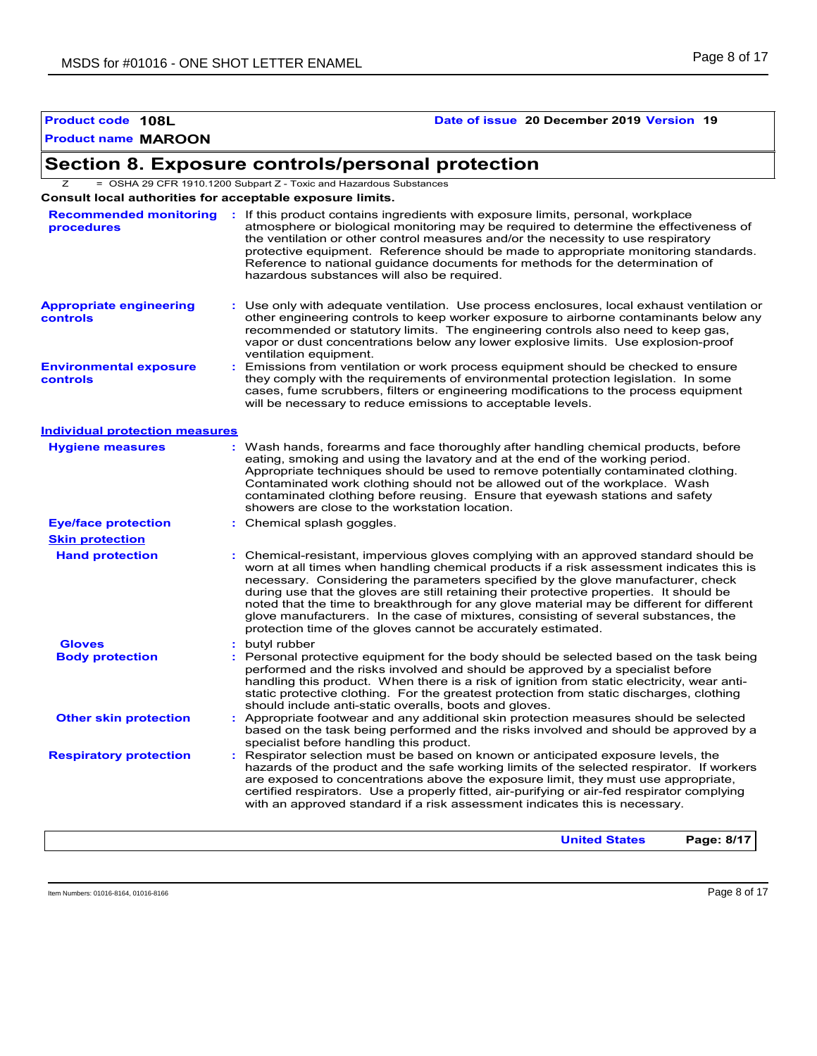# **Product code 108L Date of issue 20 December 2019 Version 19**

# **Section 8. Exposure controls/personal protection**

Z = OSHA 29 CFR 1910.1200 Subpart Z - Toxic and Hazardous Substances

**Consult local authorities for acceptable exposure limits.**

| procedures                                 | Recommended monitoring : If this product contains ingredients with exposure limits, personal, workplace<br>atmosphere or biological monitoring may be required to determine the effectiveness of<br>the ventilation or other control measures and/or the necessity to use respiratory<br>protective equipment. Reference should be made to appropriate monitoring standards.<br>Reference to national guidance documents for methods for the determination of<br>hazardous substances will also be required.                                                                                                           |
|--------------------------------------------|------------------------------------------------------------------------------------------------------------------------------------------------------------------------------------------------------------------------------------------------------------------------------------------------------------------------------------------------------------------------------------------------------------------------------------------------------------------------------------------------------------------------------------------------------------------------------------------------------------------------|
| <b>Appropriate engineering</b><br>controls | : Use only with adequate ventilation. Use process enclosures, local exhaust ventilation or<br>other engineering controls to keep worker exposure to airborne contaminants below any<br>recommended or statutory limits. The engineering controls also need to keep gas,<br>vapor or dust concentrations below any lower explosive limits. Use explosion-proof<br>ventilation equipment.                                                                                                                                                                                                                                |
| <b>Environmental exposure</b><br>controls  | : Emissions from ventilation or work process equipment should be checked to ensure<br>they comply with the requirements of environmental protection legislation. In some<br>cases, fume scrubbers, filters or engineering modifications to the process equipment<br>will be necessary to reduce emissions to acceptable levels.                                                                                                                                                                                                                                                                                        |
| <b>Individual protection measures</b>      |                                                                                                                                                                                                                                                                                                                                                                                                                                                                                                                                                                                                                        |
| <b>Hygiene measures</b>                    | : Wash hands, forearms and face thoroughly after handling chemical products, before<br>eating, smoking and using the lavatory and at the end of the working period.<br>Appropriate techniques should be used to remove potentially contaminated clothing.<br>Contaminated work clothing should not be allowed out of the workplace. Wash<br>contaminated clothing before reusing. Ensure that eyewash stations and safety<br>showers are close to the workstation location.                                                                                                                                            |
| <b>Eye/face protection</b>                 | : Chemical splash goggles.                                                                                                                                                                                                                                                                                                                                                                                                                                                                                                                                                                                             |
| <b>Skin protection</b>                     |                                                                                                                                                                                                                                                                                                                                                                                                                                                                                                                                                                                                                        |
| <b>Hand protection</b>                     | : Chemical-resistant, impervious gloves complying with an approved standard should be<br>worn at all times when handling chemical products if a risk assessment indicates this is<br>necessary. Considering the parameters specified by the glove manufacturer, check<br>during use that the gloves are still retaining their protective properties. It should be<br>noted that the time to breakthrough for any glove material may be different for different<br>glove manufacturers. In the case of mixtures, consisting of several substances, the<br>protection time of the gloves cannot be accurately estimated. |
| <b>Gloves</b>                              | : butyl rubber                                                                                                                                                                                                                                                                                                                                                                                                                                                                                                                                                                                                         |
| <b>Body protection</b>                     | : Personal protective equipment for the body should be selected based on the task being<br>performed and the risks involved and should be approved by a specialist before<br>handling this product. When there is a risk of ignition from static electricity, wear anti-<br>static protective clothing. For the greatest protection from static discharges, clothing<br>should include anti-static overalls, boots and gloves.                                                                                                                                                                                         |
| <b>Other skin protection</b>               | Appropriate footwear and any additional skin protection measures should be selected<br>based on the task being performed and the risks involved and should be approved by a<br>specialist before handling this product.                                                                                                                                                                                                                                                                                                                                                                                                |
| <b>Respiratory protection</b>              | : Respirator selection must be based on known or anticipated exposure levels, the<br>hazards of the product and the safe working limits of the selected respirator. If workers<br>are exposed to concentrations above the exposure limit, they must use appropriate,<br>certified respirators. Use a properly fitted, air-purifying or air-fed respirator complying<br>with an approved standard if a risk assessment indicates this is necessary.                                                                                                                                                                     |
|                                            | Page: 8/17<br><b>United States</b>                                                                                                                                                                                                                                                                                                                                                                                                                                                                                                                                                                                     |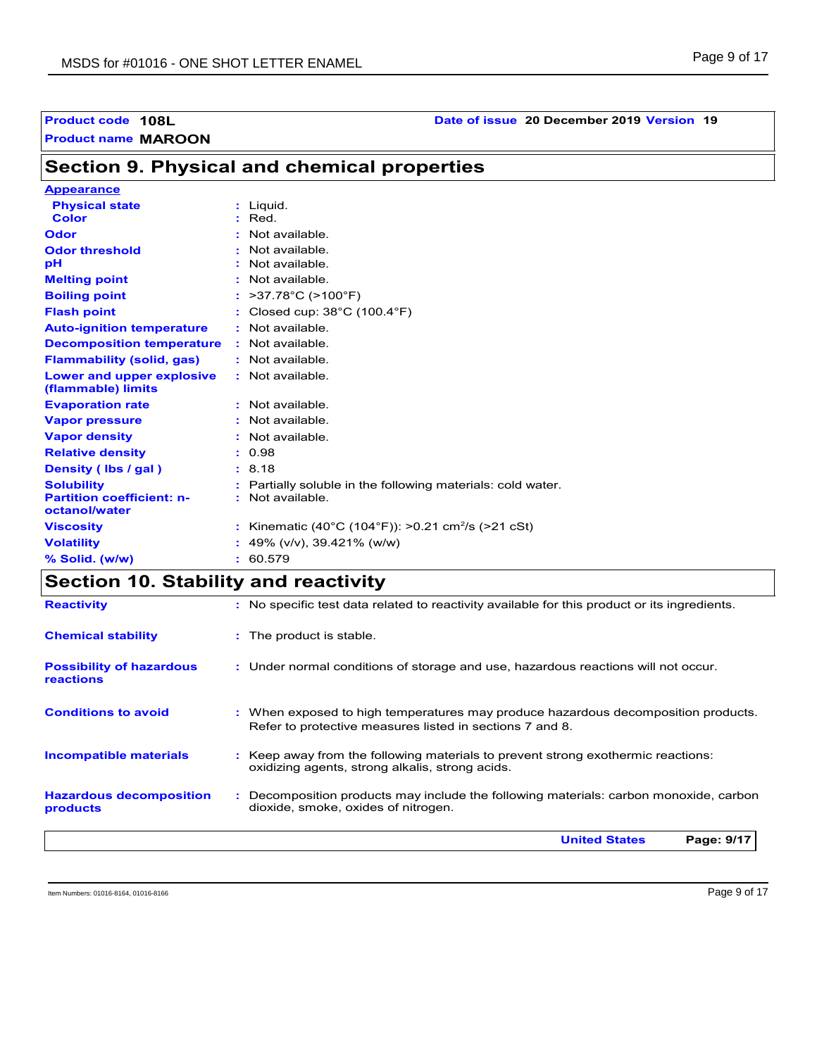# **Product name MAROON Product code 108L Date of issue 20 December 2019 Version 19**

**Appearance**

# **Section 9. Physical and chemical properties**

| <b>Appearance</b>                                 |                                                              |
|---------------------------------------------------|--------------------------------------------------------------|
| <b>Physical state</b>                             | $:$ Liquid.                                                  |
| <b>Color</b>                                      | $:$ Red.                                                     |
| Odor                                              | Not available.                                               |
| <b>Odor threshold</b>                             | Not available.                                               |
| рH                                                | : Not available.                                             |
| <b>Melting point</b>                              | : Not available.                                             |
| <b>Boiling point</b>                              | >37.78°C (>100°F)                                            |
| <b>Flash point</b>                                | : Closed cup: $38^{\circ}$ C (100.4 $^{\circ}$ F)            |
| <b>Auto-ignition temperature</b>                  | $:$ Not available.                                           |
| <b>Decomposition temperature</b>                  | $:$ Not available.                                           |
| <b>Flammability (solid, gas)</b>                  | $:$ Not available.                                           |
| Lower and upper explosive<br>(flammable) limits   | : Not available.                                             |
| <b>Evaporation rate</b>                           | $:$ Not available.                                           |
| <b>Vapor pressure</b>                             | : Not available.                                             |
| <b>Vapor density</b>                              | : Not available.                                             |
| <b>Relative density</b>                           | : 0.98                                                       |
| Density (Ibs / gal)                               | : 8.18                                                       |
| <b>Solubility</b>                                 | Partially soluble in the following materials: cold water.    |
| <b>Partition coefficient: n-</b><br>octanol/water | Not available.                                               |
| <b>Viscosity</b>                                  | Kinematic (40°C (104°F)): >0.21 cm <sup>2</sup> /s (>21 cSt) |
| <b>Volatility</b>                                 | 49% (v/v), 39.421% (w/w)                                     |
| % Solid. (w/w)                                    | 60.579<br>÷.                                                 |

# **Section 10. Stability and reactivity**

| <b>Reactivity</b>                            | : No specific test data related to reactivity available for this product or its ingredients.                                                  |
|----------------------------------------------|-----------------------------------------------------------------------------------------------------------------------------------------------|
| <b>Chemical stability</b>                    | : The product is stable.                                                                                                                      |
| <b>Possibility of hazardous</b><br>reactions | : Under normal conditions of storage and use, hazardous reactions will not occur.                                                             |
| <b>Conditions to avoid</b>                   | : When exposed to high temperatures may produce hazardous decomposition products.<br>Refer to protective measures listed in sections 7 and 8. |
| <b>Incompatible materials</b>                | : Keep away from the following materials to prevent strong exothermic reactions:<br>oxidizing agents, strong alkalis, strong acids.           |
| <b>Hazardous decomposition</b><br>products   | : Decomposition products may include the following materials: carbon monoxide, carbon<br>dioxide, smoke, oxides of nitrogen.                  |
|                                              | Page: 9/17<br><b>United States</b>                                                                                                            |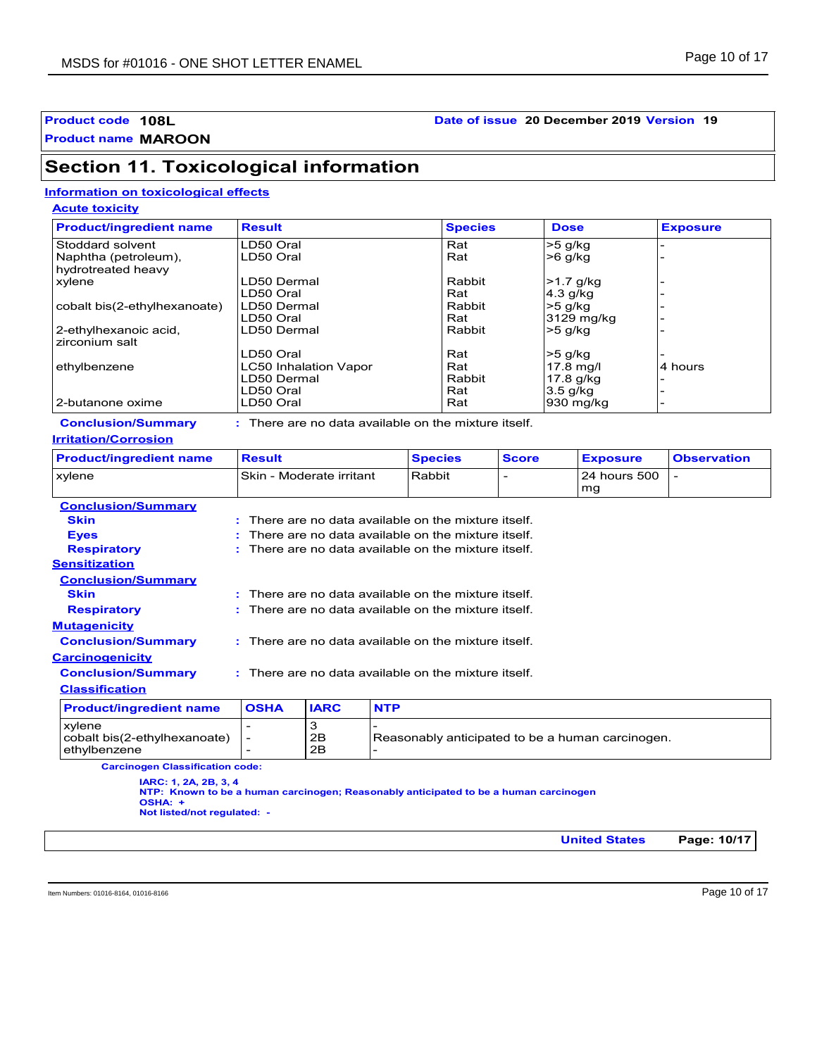## **Product code 108L Date of issue 20 December 2019 Version 19**

**Product name MAROON**

# **Section 11. Toxicological information**

## **Information on toxicological effects**

**Acute toxicity**

| <b>Product/ingredient name</b> | <b>Result</b>                | <b>Species</b> | <b>Dose</b> | <b>Exposure</b> |
|--------------------------------|------------------------------|----------------|-------------|-----------------|
| Stoddard solvent               | LD50 Oral                    | Rat            | $>5$ g/kg   |                 |
| Naphtha (petroleum),           | LD50 Oral                    | Rat            | $>6$ g/kg   |                 |
| hydrotreated heavy             |                              |                |             |                 |
| xylene                         | LD50 Dermal                  | Rabbit         | $>1.7$ g/kg |                 |
|                                | LD50 Oral                    | Rat            | $4.3$ g/kg  |                 |
| cobalt bis(2-ethylhexanoate)   | LD50 Dermal                  | Rabbit         | >5 g/kg     |                 |
|                                | LD50 Oral                    | Rat            | 3129 mg/kg  |                 |
| 2-ethylhexanoic acid,          | LD50 Dermal                  | Rabbit         | $>5$ g/kg   |                 |
| zirconium salt                 |                              |                |             |                 |
|                                | LD50 Oral                    | Rat            | >5 g/kg     |                 |
| ethylbenzene                   | <b>LC50 Inhalation Vapor</b> | Rat            | $17.8$ mg/l | 4 hours         |
|                                | LD50 Dermal                  | Rabbit         | 17.8 g/kg   |                 |
|                                | LD50 Oral                    | Rat            | $3.5$ g/kg  |                 |
| l 2-butanone oxime             | LD50 Oral                    | Rat            | 930 mg/kg   |                 |

#### **Conclusion/Summary : Irritation/Corrosion**

: There are no data available on the mixture itself.

| <b>Product/ingredient name</b> | <b>Result</b>             | <b>Species</b> | <b>Score</b> | l Exposure             | <b>Observation</b> |
|--------------------------------|---------------------------|----------------|--------------|------------------------|--------------------|
| xvlene                         | ISkin - Moderate irritant | Rabbit         |              | l 24 hours 500<br>l mq |                    |
| Conclusion Cummon              |                           |                |              |                        |                    |

| <b>Conclusion/Summary</b>                              |                                                      |               |                                                        |
|--------------------------------------------------------|------------------------------------------------------|---------------|--------------------------------------------------------|
| <b>Skin</b>                                            |                                                      |               | $:$ There are no data available on the mixture itself. |
| <b>Eyes</b>                                            |                                                      |               | $:$ There are no data available on the mixture itself. |
| <b>Respiratory</b>                                     |                                                      |               | $:$ There are no data available on the mixture itself. |
| <b>Sensitization</b>                                   |                                                      |               |                                                        |
| <b>Conclusion/Summary</b>                              |                                                      |               |                                                        |
| <b>Skin</b>                                            |                                                      |               | : There are no data available on the mixture itself.   |
| <b>Respiratory</b>                                     |                                                      |               | $:$ There are no data available on the mixture itself. |
| <b>Mutagenicity</b>                                    |                                                      |               |                                                        |
| <b>Conclusion/Summary</b>                              |                                                      |               | : There are no data available on the mixture itself.   |
| <b>Carcinogenicity</b>                                 |                                                      |               |                                                        |
| <b>Conclusion/Summary</b>                              |                                                      |               | : There are no data available on the mixture itself.   |
| <b>Classification</b>                                  |                                                      |               |                                                        |
| <b>Product/ingredient name</b>                         | <b>OSHA</b>                                          | <b>IARC</b>   | <b>NTP</b>                                             |
| xylene<br>cobalt bis(2-ethylhexanoate)<br>ethylbenzene | $\overline{\phantom{0}}$<br>$\overline{\phantom{0}}$ | 3<br>2B<br>2B | Reasonably anticipated to be a human carcinogen.<br>-  |

**Carcinogen Classification code:**

**IARC: 1, 2A, 2B, 3, 4**

**NTP: Known to be a human carcinogen; Reasonably anticipated to be a human carcinogen OSHA: +**

**Not listed/not regulated: -**

**United States Page: 10/17**

Item Numbers: 01016-8164, 01016-8166 Page 10 of 17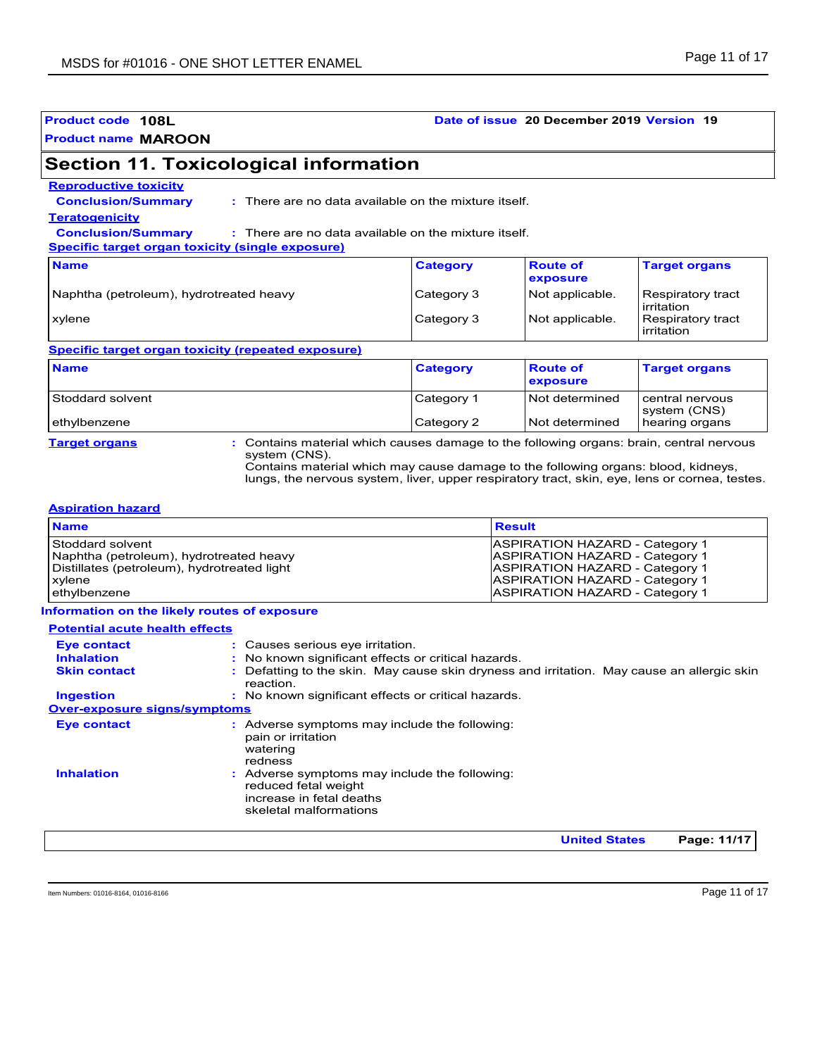### **Product code 108L Date of issue 20 December 2019 Version 19**

# **Section 11. Toxicological information**

#### **Reproductive toxicity**

**Conclusion/Summary :**

There are no data available on the mixture itself.

#### **Teratogenicity**

**Conclusion/Summary :** There are no data available on the mixture itself.

**Specific target organ toxicity (single exposure)**

| <b>Name</b>                             | <b>Category</b> | <b>Route of</b><br>exposure | <b>Target organs</b>              |
|-----------------------------------------|-----------------|-----------------------------|-----------------------------------|
| Naphtha (petroleum), hydrotreated heavy | Category 3      | Not applicable.             | Respiratory tract<br>l irritation |
| xylene                                  | Category 3      | Not applicable.             | Respiratory tract<br>irritation   |

#### **Specific target organ toxicity (repeated exposure)**

| <b>Name</b>      | <b>Category</b> | <b>Route of</b><br><b>exposure</b> | <b>Target organs</b>            |
|------------------|-----------------|------------------------------------|---------------------------------|
| Stoddard solvent | Category 1      | <b>Not determined</b>              | central nervous<br>system (CNS) |
| ethylbenzene     | Category 2      | Not determined                     | hearing organs                  |

**Target organs :** Contains material which causes damage to the following organs: brain, central nervous system (CNS).

Contains material which may cause damage to the following organs: blood, kidneys, lungs, the nervous system, liver, upper respiratory tract, skin, eye, lens or cornea, testes.

#### **Aspiration hazard**

| <b>Result</b>                         |
|---------------------------------------|
| <b>ASPIRATION HAZARD - Category 1</b> |
| <b>ASPIRATION HAZARD - Category 1</b> |
| <b>ASPIRATION HAZARD - Category 1</b> |
| <b>ASPIRATION HAZARD - Category 1</b> |
| <b>ASPIRATION HAZARD - Category 1</b> |
|                                       |

#### **Information on the likely routes of exposure**

| <b>Potential acute health effects</b> |                                                                                                                           |
|---------------------------------------|---------------------------------------------------------------------------------------------------------------------------|
| Eye contact                           | : Causes serious eye irritation.                                                                                          |
| <b>Inhalation</b>                     | No known significant effects or critical hazards.                                                                         |
| <b>Skin contact</b>                   | Defatting to the skin. May cause skin dryness and irritation. May cause an allergic skin<br>reaction                      |
| <b>Ingestion</b>                      | : No known significant effects or critical hazards.                                                                       |
| <b>Over-exposure signs/symptoms</b>   |                                                                                                                           |
| <b>Eye contact</b>                    | : Adverse symptoms may include the following:<br>pain or irritation<br>watering<br>redness                                |
| <b>Inhalation</b><br>÷.               | Adverse symptoms may include the following:<br>reduced fetal weight<br>increase in fetal deaths<br>skeletal malformations |
|                                       | <b>United States</b><br>Page: 11/17                                                                                       |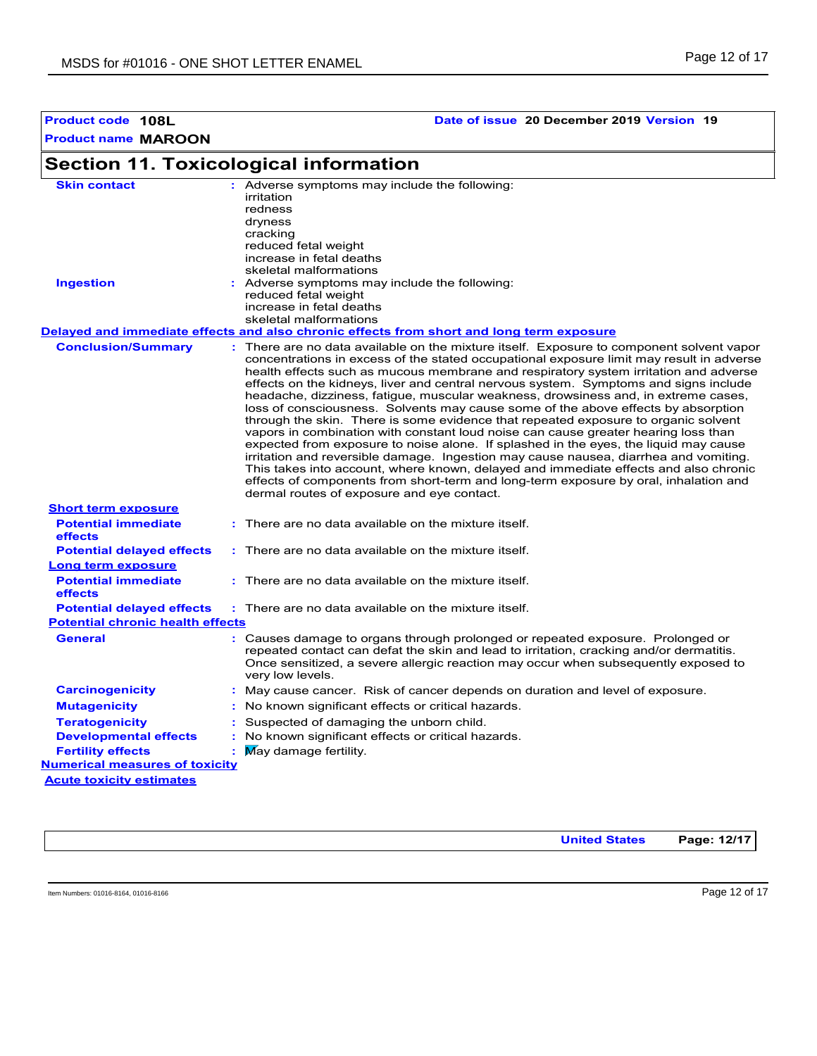**Product code 108L Date of issue 20 December 2019 Version 19**

#### **Section 11. Toxicological information Conclusion/Summary : General : Carcinogenicity : Mutagenicity : Teratogenicity : Developmental effects : Fertility effects : Potential chronic health effects Delayed and immediate effects and also chronic effects from short and long term exposure Numerical measures of toxicity Acute toxicity estimates Potential immediate effects :** There are no data available on the mixture itself. **Short term exposure Potential delayed effects : Potential immediate effects :** There are no data available on the mixture itself. **Long term exposure Potential delayed effects : Skin contact Ingestion Business:** Adverse symptoms may include the following: reduced fetal weight increase in fetal deaths skeletal malformations Adverse symptoms may include the following: **:** irritation redness dryness cracking reduced fetal weight increase in fetal deaths skeletal malformations : May cause cancer. Risk of cancer depends on duration and level of exposure. There are no data available on the mixture itself. Exposure to component solvent vapor concentrations in excess of the stated occupational exposure limit may result in adverse health effects such as mucous membrane and respiratory system irritation and adverse effects on the kidneys, liver and central nervous system. Symptoms and signs include headache, dizziness, fatigue, muscular weakness, drowsiness and, in extreme cases, loss of consciousness. Solvents may cause some of the above effects by absorption through the skin. There is some evidence that repeated exposure to organic solvent vapors in combination with constant loud noise can cause greater hearing loss than expected from exposure to noise alone. If splashed in the eyes, the liquid may cause irritation and reversible damage. Ingestion may cause nausea, diarrhea and vomiting. This takes into account, where known, delayed and immediate effects and also chronic effects of components from short-term and long-term exposure by oral, inhalation and dermal routes of exposure and eye contact. Causes damage to organs through prolonged or repeated exposure. Prolonged or repeated contact can defat the skin and lead to irritation, cracking and/or dermatitis. Once sensitized, a severe allergic reaction may occur when subsequently exposed to very low levels. Suspected of damaging the unborn child. : No known significant effects or critical hazards. : No known significant effects or critical hazards. May damage fertility. There are no data available on the mixture itself. There are no data available on the mixture itself.

**United States Page: 12/17**

Item Numbers: 01016-8164, 01016-8166 Page 12 of 17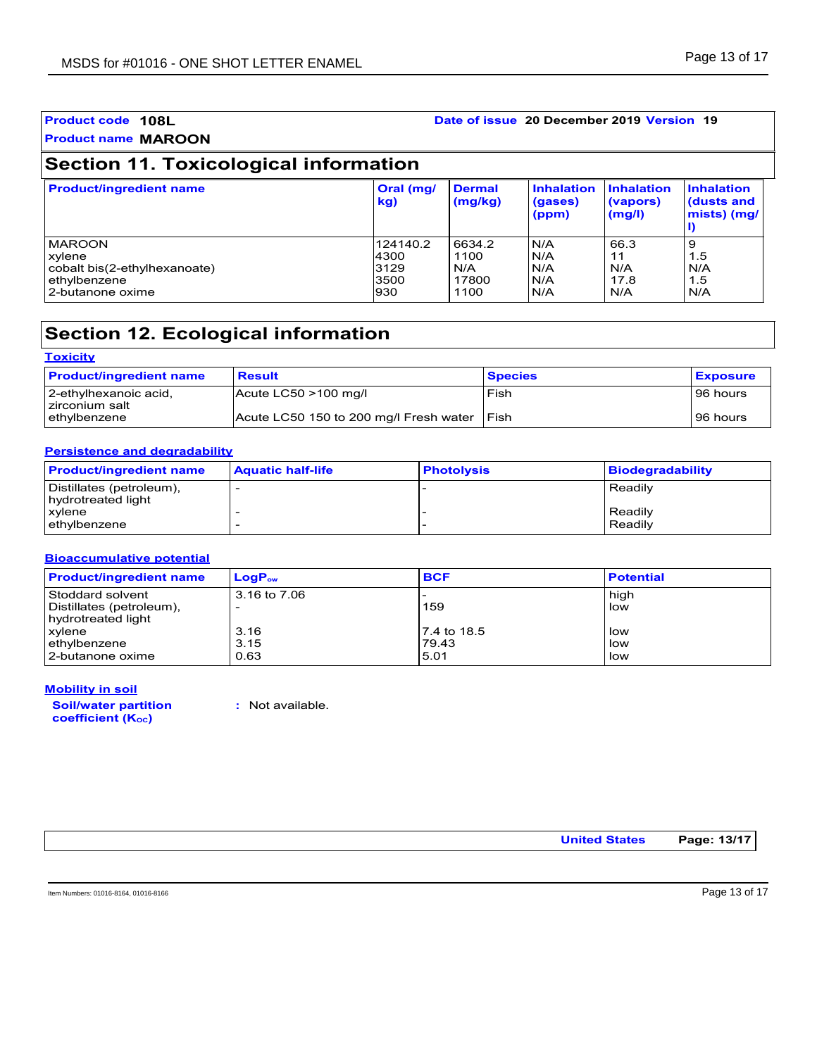| <b>Product code 108L</b>                                |                          |                          | Date of issue 20 December 2019 Version 19 |                                  |                                                |
|---------------------------------------------------------|--------------------------|--------------------------|-------------------------------------------|----------------------------------|------------------------------------------------|
| <b>Product name MAROON</b>                              |                          |                          |                                           |                                  |                                                |
| <b>Section 11. Toxicological information</b>            |                          |                          |                                           |                                  |                                                |
| <b>Product/ingredient name</b>                          | Oral (mg/<br>kq          | <b>Dermal</b><br>(mg/kg) | Inhalation<br>(gases)<br>(ppm)            | Inhalation<br>(vapors)<br>(mg/l) | <b>Inhalation</b><br>(dusts and<br>mists) (mg/ |
| <b>MAROON</b><br>xylene<br>cobalt bis(2-ethylhexanoate) | 124140.2<br>4300<br>3129 | 6634.2<br>1100<br>N/A    | N/A<br>N/A<br>N/A                         | 66.3<br>11<br>N/A                | 9<br>1.5<br>N/A                                |

# **Section 12. Ecological information**

| <b>Toxicity</b>                          |                                        |                |                 |
|------------------------------------------|----------------------------------------|----------------|-----------------|
| <b>Product/ingredient name</b>           | <b>Result</b>                          | <b>Species</b> | <b>Exposure</b> |
| ∣2-ethylhexanoic acid,<br>zirconium salt | Acute LC50 >100 mg/l                   | Fish           | 96 hours        |
| l ethvlbenzene                           | Acute LC50 150 to 200 mg/l Fresh water | l Fish         | 96 hours        |

ethylbenzene 3500 17800 N/A 17.8 1.5 ethylbenzene ethylbenzene ethylbenzene ethylbenzene ethylbenzene ethylbenzene ethylbenzene ethylbenzene ethylbenzene ethylbenzene ethylbenzene ethylbenzene ethylbenzene ethylbenzene ethylbenzene ethylbenzene ethylbenzene e

#### **Persistence and degradability**

| <b>Product/ingredient name</b>                          | <b>Aquatic half-life</b> | <b>Photolysis</b> | <b>Biodegradability</b> |
|---------------------------------------------------------|--------------------------|-------------------|-------------------------|
| Distillates (petroleum),<br><b>I</b> hydrotreated light |                          |                   | Readily                 |
| xvlene<br>ethylbenzene                                  |                          |                   | Readily<br>Readily      |

#### **Bioaccumulative potential**

| <b>Product/ingredient name</b> | $LogP_{ow}$  | <b>BCF</b>  | <b>Potential</b> |
|--------------------------------|--------------|-------------|------------------|
| Stoddard solvent               | 3.16 to 7.06 |             | high             |
| Distillates (petroleum),       |              | 159         | low              |
| hydrotreated light             |              |             |                  |
| <b>xylene</b>                  | 3.16         | 7.4 to 18.5 | low              |
| ethylbenzene                   | 3.15         | 79.43       | low              |
| 2-butanone oxime               | 0.63         | 5.01        | low              |

#### **Mobility in soil**

**Soil/water partition coefficient (KOC)**

**:** Not available.

**United States Page: 13/17**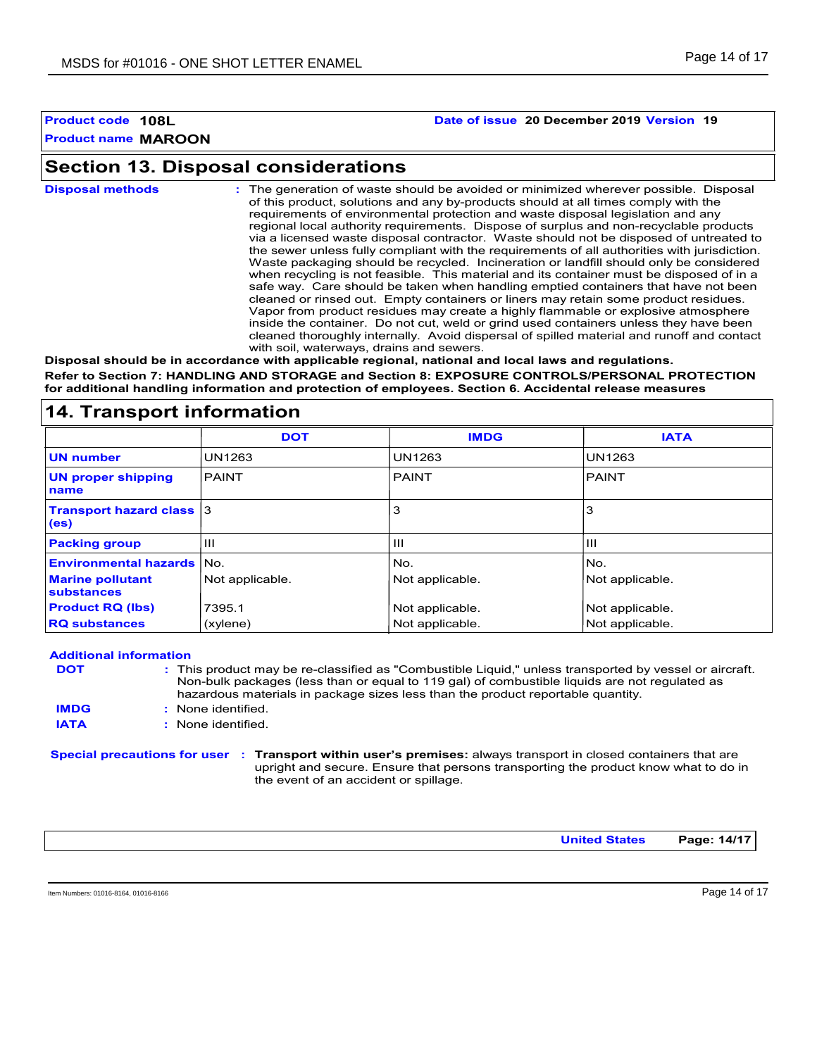#### **Product code 108L Date of issue 20 December 2019 Version 19**

# **Section 13. Disposal considerations**

| <b>Disposal methods</b> | : The generation of waste should be avoided or minimized wherever possible. Disposal<br>of this product, solutions and any by-products should at all times comply with the<br>requirements of environmental protection and waste disposal legislation and any<br>regional local authority requirements. Dispose of surplus and non-recyclable products<br>via a licensed waste disposal contractor. Waste should not be disposed of untreated to<br>the sewer unless fully compliant with the requirements of all authorities with jurisdiction.<br>Waste packaging should be recycled. Incineration or landfill should only be considered<br>when recycling is not feasible. This material and its container must be disposed of in a<br>safe way. Care should be taken when handling emptied containers that have not been<br>cleaned or rinsed out. Empty containers or liners may retain some product residues.<br>Vapor from product residues may create a highly flammable or explosive atmosphere<br>inside the container. Do not cut, weld or grind used containers unless they have been<br>cleaned thoroughly internally. Avoid dispersal of spilled material and runoff and contact<br>with soil, waterways, drains and sewers. |
|-------------------------|--------------------------------------------------------------------------------------------------------------------------------------------------------------------------------------------------------------------------------------------------------------------------------------------------------------------------------------------------------------------------------------------------------------------------------------------------------------------------------------------------------------------------------------------------------------------------------------------------------------------------------------------------------------------------------------------------------------------------------------------------------------------------------------------------------------------------------------------------------------------------------------------------------------------------------------------------------------------------------------------------------------------------------------------------------------------------------------------------------------------------------------------------------------------------------------------------------------------------------------------|
|                         | Dieneeel ebeuld he in secondance with applicable regional, petional and local lowe and requisions                                                                                                                                                                                                                                                                                                                                                                                                                                                                                                                                                                                                                                                                                                                                                                                                                                                                                                                                                                                                                                                                                                                                          |

**Disposal should be in accordance with applicable regional, national and local laws and regulations. Refer to Section 7: HANDLING AND STORAGE and Section 8: EXPOSURE CONTROLS/PERSONAL PROTECTION for additional handling information and protection of employees. Section 6. Accidental release measures**

# **14. Transport information**

|                                         | <b>DOT</b>      | <b>IMDG</b>     | <b>IATA</b>     |
|-----------------------------------------|-----------------|-----------------|-----------------|
| <b>UN number</b>                        | UN1263          | UN1263          | UN1263          |
| <b>UN proper shipping</b><br>name       | PAINT           | <b>PAINT</b>    | PAINT           |
| <b>Transport hazard class 3</b><br>(es) |                 | 3               | 3               |
| <b>Packing group</b>                    | Ш               | Ш               | Ш               |
| <b>Environmental hazards</b>            | lNo.            | No.             | No.             |
| <b>Marine pollutant</b><br>substances   | Not applicable. | Not applicable. | Not applicable. |
| <b>Product RQ (lbs)</b>                 | 7395.1          | Not applicable. | Not applicable. |
| <b>RQ substances</b>                    | (xylene)        | Not applicable. | Not applicable. |

**Special precautions for user Transport within user's premises:** always transport in closed containers that are **: Additional information** This product may be re-classified as "Combustible Liquid," unless transported by vessel or aircraft. **:** Non-bulk packages (less than or equal to 119 gal) of combustible liquids are not regulated as hazardous materials in package sizes less than the product reportable quantity. None identified. **: DOT IMDG IATA :** None identified.

upright and secure. Ensure that persons transporting the product know what to do in the event of an accident or spillage.

**United States Page: 14/17**

Item Numbers: 01016-8164, 01016-8166 Page 14 of 17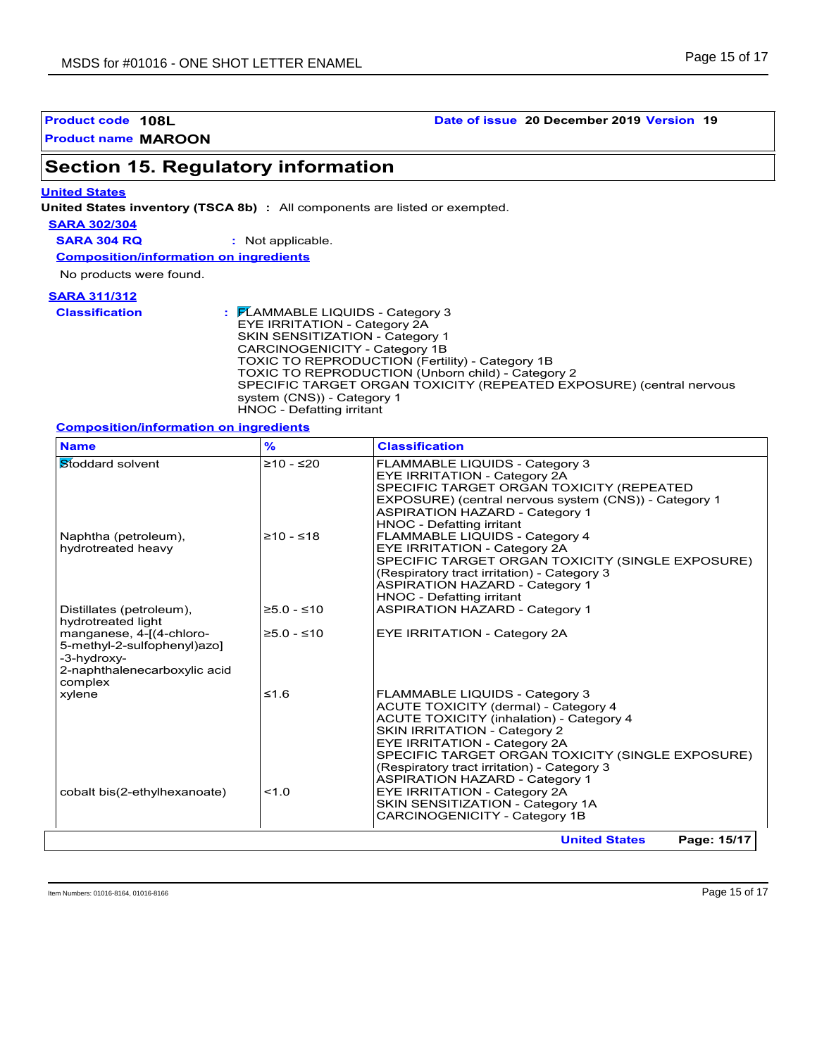**Product code 108L Date of issue 20 December 2019 Version 19**

# **Section 15. Regulatory information**

#### **United States**

**United States inventory (TSCA 8b) :** All components are listed or exempted.

**SARA 302/304**

**SARA 304 RQ :** Not applicable.

**Composition/information on ingredients**

No products were found.

#### **SARA 311/312**

| <b>Classification</b> | $\frac{1}{2}$ $\mathsf{P}$ LAMMABLE LIQUIDS - Category 3<br>EYE IRRITATION - Category 2A<br><b>SKIN SENSITIZATION - Category 1</b><br>CARCINOGENICITY - Category 1B<br>TOXIC TO REPRODUCTION (Fertility) - Category 1B<br>TOXIC TO REPRODUCTION (Unborn child) - Category 2<br>SPECIFIC TARGET ORGAN TOXICITY (REPEATED EXPOSURE) (central nervous<br>system (CNS)) - Category 1 |
|-----------------------|----------------------------------------------------------------------------------------------------------------------------------------------------------------------------------------------------------------------------------------------------------------------------------------------------------------------------------------------------------------------------------|
|                       | HNOC - Defatting irritant                                                                                                                                                                                                                                                                                                                                                        |

### **Composition/information on ingredients**

| <b>Name</b>                                                                                                       | $\frac{9}{6}$ | <b>Classification</b>                                                                                                                                                                                                                                                                                                                        |
|-------------------------------------------------------------------------------------------------------------------|---------------|----------------------------------------------------------------------------------------------------------------------------------------------------------------------------------------------------------------------------------------------------------------------------------------------------------------------------------------------|
| Stoddard solvent                                                                                                  | $≥10 - ≤20$   | FLAMMABLE LIQUIDS - Category 3<br><b>EYE IRRITATION - Category 2A</b><br>SPECIFIC TARGET ORGAN TOXICITY (REPEATED<br>EXPOSURE) (central nervous system (CNS)) - Category 1<br><b>ASPIRATION HAZARD - Category 1</b><br>HNOC - Defatting irritant                                                                                             |
| Naphtha (petroleum),<br>hydrotreated heavy                                                                        | $≥10 - ≤18$   | FLAMMABLE LIQUIDS - Category 4<br>EYE IRRITATION - Category 2A<br>SPECIFIC TARGET ORGAN TOXICITY (SINGLE EXPOSURE)<br>(Respiratory tract irritation) - Category 3<br><b>ASPIRATION HAZARD - Category 1</b><br>HNOC - Defatting irritant                                                                                                      |
| Distillates (petroleum),<br>hydrotreated light                                                                    | $≥5.0 - ≤10$  | <b>ASPIRATION HAZARD - Category 1</b>                                                                                                                                                                                                                                                                                                        |
| manganese, 4-[(4-chloro-<br>5-methyl-2-sulfophenyl)azo]<br>-3-hydroxy-<br>2-naphthalenecarboxylic acid<br>complex | $≥5.0 - ≤10$  | <b>EYE IRRITATION - Category 2A</b>                                                                                                                                                                                                                                                                                                          |
| xylene                                                                                                            | $≤1.6$        | FLAMMABLE LIQUIDS - Category 3<br>ACUTE TOXICITY (dermal) - Category 4<br><b>ACUTE TOXICITY (inhalation) - Category 4</b><br><b>SKIN IRRITATION - Category 2</b><br>EYE IRRITATION - Category 2A<br>SPECIFIC TARGET ORGAN TOXICITY (SINGLE EXPOSURE)<br>(Respiratory tract irritation) - Category 3<br><b>ASPIRATION HAZARD - Category 1</b> |
| cobalt bis(2-ethylhexanoate)                                                                                      | 1.0           | EYE IRRITATION - Category 2A<br>SKIN SENSITIZATION - Category 1A<br>CARCINOGENICITY - Category 1B                                                                                                                                                                                                                                            |
|                                                                                                                   |               | <b>United States</b><br>Page: 15/17                                                                                                                                                                                                                                                                                                          |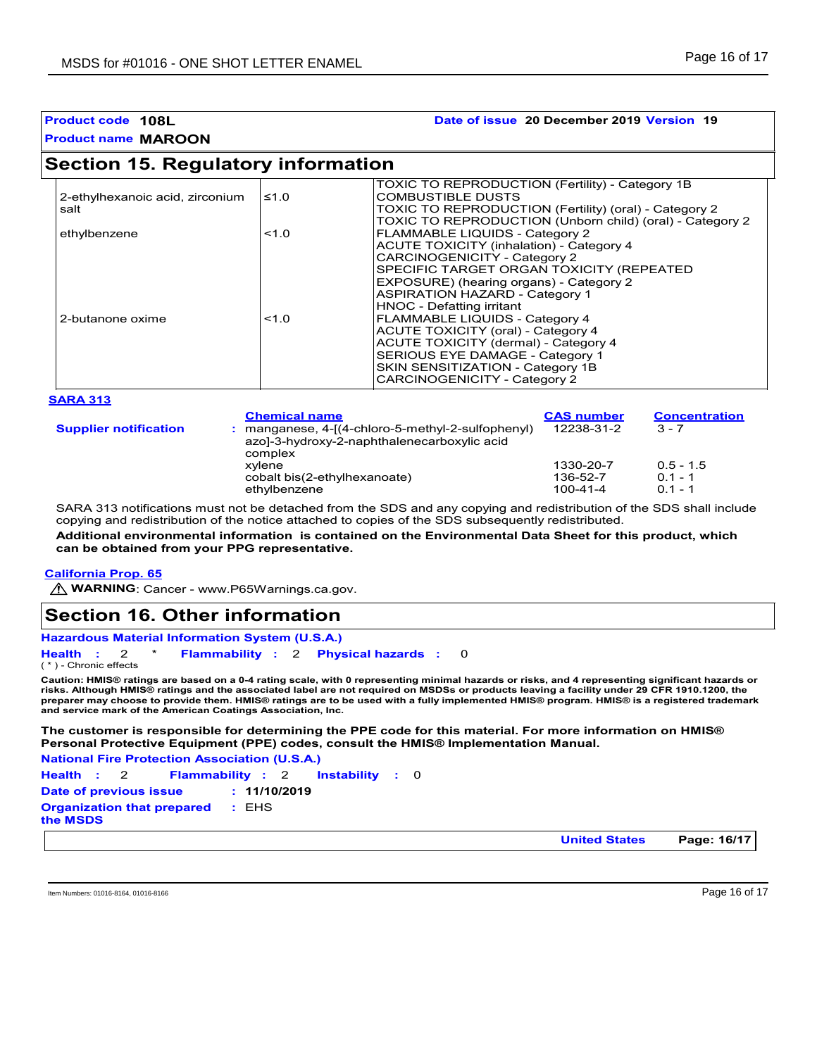# **Product name MAROON Product code 108L Date of issue 20 December 2019 Version 19**

# **Section 15. Regulatory information**

| 2-ethylhexanoic acid, zirconium | ≤1.0  | TOXIC TO REPRODUCTION (Fertility) - Category 1B<br><b>COMBUSTIBLE DUSTS</b> |
|---------------------------------|-------|-----------------------------------------------------------------------------|
| salt                            |       | TOXIC TO REPRODUCTION (Fertility) (oral) - Category 2                       |
|                                 |       | TOXIC TO REPRODUCTION (Unborn child) (oral) - Category 2                    |
| ethylbenzene                    | < 1.0 | <b>FLAMMABLE LIQUIDS - Category 2</b>                                       |
|                                 |       | <b>ACUTE TOXICITY (inhalation) - Category 4</b>                             |
|                                 |       | CARCINOGENICITY - Category 2                                                |
|                                 |       | SPECIFIC TARGET ORGAN TOXICITY (REPEATED                                    |
|                                 |       | EXPOSURE) (hearing organs) - Category 2                                     |
|                                 |       | <b>ASPIRATION HAZARD - Category 1</b>                                       |
|                                 |       | <b>HNOC - Defatting irritant</b>                                            |
| 2-butanone oxime                | < 1.0 | FLAMMABLE LIQUIDS - Category 4                                              |
|                                 |       | ACUTE TOXICITY (oral) - Category 4                                          |
|                                 |       | ACUTE TOXICITY (dermal) - Category 4                                        |
|                                 |       | SERIOUS EYE DAMAGE - Category 1                                             |
|                                 |       | SKIN SENSITIZATION - Category 1B                                            |
|                                 |       | <b>CARCINOGENICITY - Category 2</b>                                         |

|                              | <b>Chemical name</b>                                                                                      | <b>CAS number</b>                 | <b>Concentration</b>                  |
|------------------------------|-----------------------------------------------------------------------------------------------------------|-----------------------------------|---------------------------------------|
| <b>Supplier notification</b> | manganese, 4-[(4-chloro-5-methyl-2-sulfophenyl)<br>azo]-3-hydroxy-2-naphthalenecarboxylic acid<br>complex | 12238-31-2                        | $3 - 7$                               |
|                              | xvlene<br>cobalt bis(2-ethylhexanoate)<br>ethylbenzene                                                    | 1330-20-7<br>136-52-7<br>100-41-4 | $0.5 - 1.5$<br>$0.1 - 1$<br>$0.1 - 1$ |

SARA 313 notifications must not be detached from the SDS and any copying and redistribution of the SDS shall include copying and redistribution of the notice attached to copies of the SDS subsequently redistributed.

**Additional environmental information is contained on the Environmental Data Sheet for this product, which can be obtained from your PPG representative.**

#### **California Prop. 65**

**WARNING**: Cancer - www.P65Warnings.ca.gov.

# **Section 16. Other information**

```
Health : 2 * Flammability : 2 Physical hazards : 0
                                0
```
( \* ) - Chronic effects

**Caution: HMIS® ratings are based on a 0-4 rating scale, with 0 representing minimal hazards or risks, and 4 representing significant hazards or risks. Although HMIS® ratings and the associated label are not required on MSDSs or products leaving a facility under 29 CFR 1910.1200, the preparer may choose to provide them. HMIS® ratings are to be used with a fully implemented HMIS® program. HMIS® is a registered trademark and service mark of the American Coatings Association, Inc.**

#### **The customer is responsible for determining the PPE code for this material. For more information on HMIS® Personal Protective Equipment (PPE) codes, consult the HMIS® Implementation Manual.**

**National Fire Protection Association (U.S.A.)**

Instability : 0 **Health**: 2 **Flammability**: 2 **Instability**: 0 **Date of previous issue : 11/10/2019 Organization that prepared the MSDS :** EHS

**United States Page: 16/17**